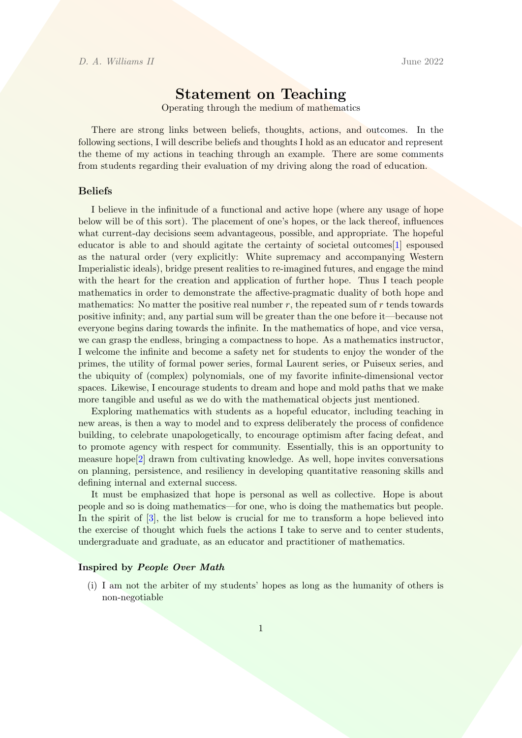# Statement on Teaching

Operating through the medium of mathematics

There are strong links between beliefs, thoughts, actions, and outcomes. In the following sections, I will describe beliefs and thoughts I hold as an educator and represent the theme of my actions in teaching through an example. There are some comments from students regarding their evaluation of my driving along the road of education.

#### Beliefs

I believe in the infinitude of a functional and active hope (where any usage of hope below will be of this sort). The placement of one's hopes, or the lack thereof, influences what current-day decisions seem advantageous, possible, and appropriate. The hopeful educator is able to and should agitate the certainty of societal outcomes[\[1\]](#page-3-0) espoused as the natural order (very explicitly: White supremacy and accompanying Western Imperialistic ideals), bridge present realities to re-imagined futures, and engage the mind with the heart for the creation and application of further hope. Thus I teach people mathematics in order to demonstrate the affective-pragmatic duality of both hope and mathematics: No matter the positive real number  $r$ , the repeated sum of  $r$  tends towards positive infinity; and, any partial sum will be greater than the one before it—because not everyone begins daring towards the infinite. In the mathematics of hope, and vice versa, we can grasp the endless, bringing a compactness to hope. As a mathematics instructor, I welcome the infinite and become a safety net for students to enjoy the wonder of the primes, the utility of formal power series, formal Laurent series, or Puiseux series, and the ubiquity of (complex) polynomials, one of my favorite infinite-dimensional vector spaces. Likewise, I encourage students to dream and hope and mold paths that we make more tangible and useful as we do with the mathematical objects just mentioned.

Exploring mathematics with students as a hopeful educator, including teaching in new areas, is then a way to model and to express deliberately the process of confidence building, to celebrate unapologetically, to encourage optimism after facing defeat, and to promote agency with respect for community. Essentially, this is an opportunity to measure hope[\[2\]](#page-3-1) drawn from cultivating knowledge. As well, hope invites conversations on planning, persistence, and resiliency in developing quantitative reasoning skills and defining internal and external success.

It must be emphasized that hope is personal as well as collective. Hope is about people and so is doing mathematics—for one, who is doing the mathematics but people. In the spirit of  $\lbrack 3\rbrack$ , the list below is crucial for me to transform a hope believed into the exercise of thought which fuels the actions I take to serve and to center students, undergraduate and graduate, as an educator and practitioner of mathematics.

#### Inspired by People Over Math

(i) I am not the arbiter of my students' hopes as long as the humanity of others is non-negotiable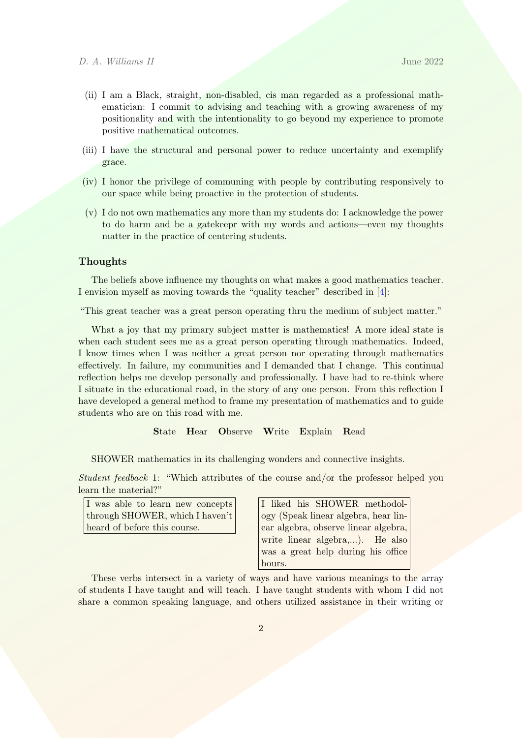- (ii) I am a Black, straight, non-disabled, cis man regarded as a professional mathematician: I commit to advising and teaching with a growing awareness of my positionality and with the intentionality to go beyond my experience to promote positive mathematical outcomes.
- (iii) I have the structural and personal power to reduce uncertainty and exemplify grace.
- (iv) I honor the privilege of communing with people by contributing responsively to our space while being proactive in the protection of students.
- (v) I do not own mathematics any more than my students do: I acknowledge the power to do harm and be a gatekeepr with my words and actions—even my thoughts matter in the practice of centering students.

# **Thoughts**

The beliefs above influence my thoughts on what makes a good mathematics teacher. I envision myself as moving towards the "quality teacher" described in [\[4\]](#page-3-3):

"This great teacher was a great person operating thru the medium of subject matter."

What a joy that my primary subject matter is mathematics! A more ideal state is when each student sees me as a great person operating through mathematics. Indeed, I know times when I was neither a great person nor operating through mathematics effectively. In failure, my communities and I demanded that I change. This continual reflection helps me develop personally and professionally. I have had to re-think where I situate in the educational road, in the story of any one person. From this reflection I have developed a general method to frame my presentation of mathematics and to guide students who are on this road with me.

# State Hear Observe Write Explain Read

SHOWER mathematics in its challenging wonders and connective insights.

Student feedback 1: "Which attributes of the course and/or the professor helped you learn the material?"

| I was able to learn new concepts |  |
|----------------------------------|--|
| through SHOWER, which I haven't  |  |
| heard of before this course.     |  |

I liked his SHOWER methodology (Speak linear algebra, hear linear algebra, observe linear algebra, write linear algebra,...). He also was a great help during his office hours.

These verbs intersect in a variety of ways and have various meanings to the array of students I have taught and will teach. I have taught students with whom I did not share a common speaking language, and others utilized assistance in their writing or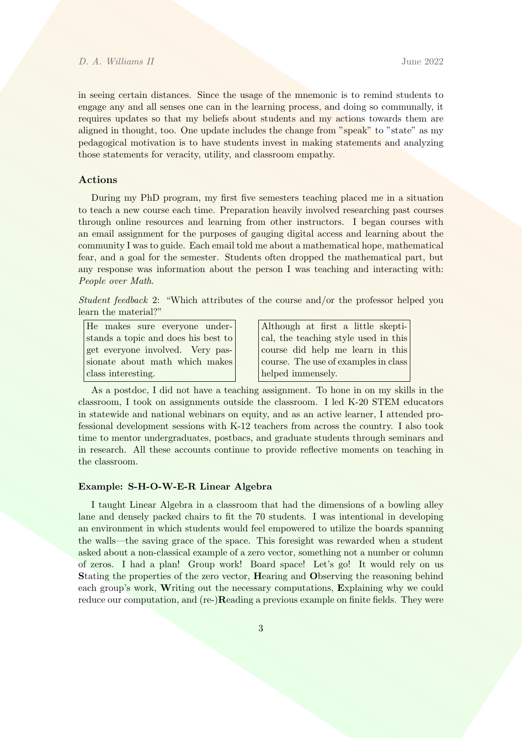#### D. A. Williams II June 2022

in seeing certain distances. Since the usage of the mnemonic is to remind students to engage any and all senses one can in the learning process, and doing so communally, it requires updates so that my beliefs about students and my actions towards them are aligned in thought, too. One update includes the change from "speak" to "state" as my pedagogical motivation is to have students invest in making statements and analyzing those statements for veracity, utility, and classroom empathy.

## Actions

During my PhD program, my first five semesters teaching placed me in a situation to teach a new course each time. Preparation heavily involved researching past courses through online resources and learning from other instructors. I began courses with an email assignment for the purposes of gauging digital access and learning about the community I was to guide. Each email told me about a mathematical hope, mathematical fear, and a goal for the semester. Students often dropped the mathematical part, but any response was information about the person I was teaching and interacting with: People over Math.

Student feedback 2: "Which attributes of the course and/or the professor helped you learn the material?"

He makes sure everyone understands a topic and does his best to get everyone involved. Very passionate about math which makes class interesting.

Although at first a little skeptical, the teaching style used in this course did help me learn in this course. The use of examples in class helped immensely.

As a postdoc, I did not have a teaching assignment. To hone in on my skills in the classroom, I took on assignments outside the classroom. I led K-20 STEM educators in statewide and national webinars on equity, and as an active learner, I attended professional development sessions with K-12 teachers from across the country. I also took time to mentor undergraduates, postbacs, and graduate students through seminars and in research. All these accounts continue to provide reflective moments on teaching in the classroom.

### Example: S-H-O-W-E-R Linear Algebra

I taught Linear Algebra in a classroom that had the dimensions of a bowling alley lane and densely packed chairs to fit the 70 students. I was intentional in developing an environment in which students would feel empowered to utilize the boards spanning the walls—the saving grace of the space. This foresight was rewarded when a student asked about a non-classical example of a zero vector, something not a number or column of zeros. I had a plan! Group work! Board space! Let's go! It would rely on us Stating the properties of the zero vector, Hearing and Observing the reasoning behind each group's work, Writing out the necessary computations, Explaining why we could reduce our computation, and (re-)Reading a previous example on finite fields. They were